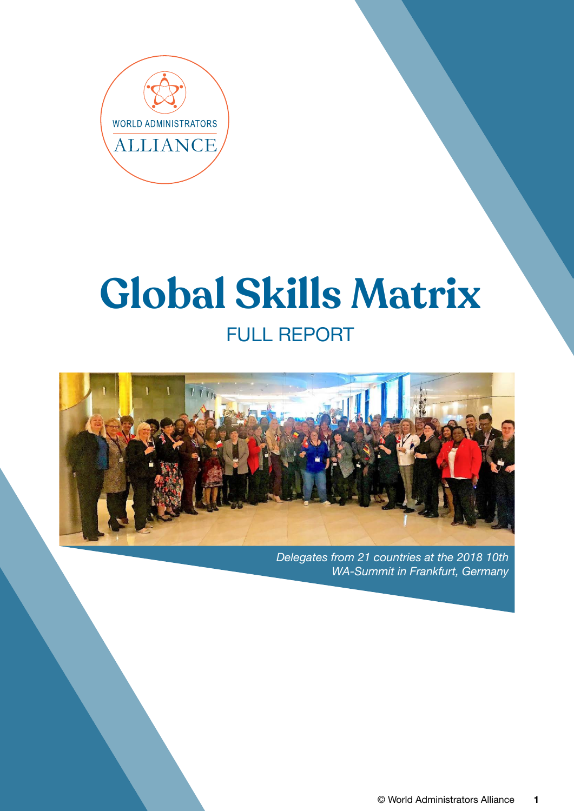

# **Global Skills Matrix** FULL REPORT



*Delegates from 21 countries at the 2018 10th WA-Summit in Frankfurt, Germany*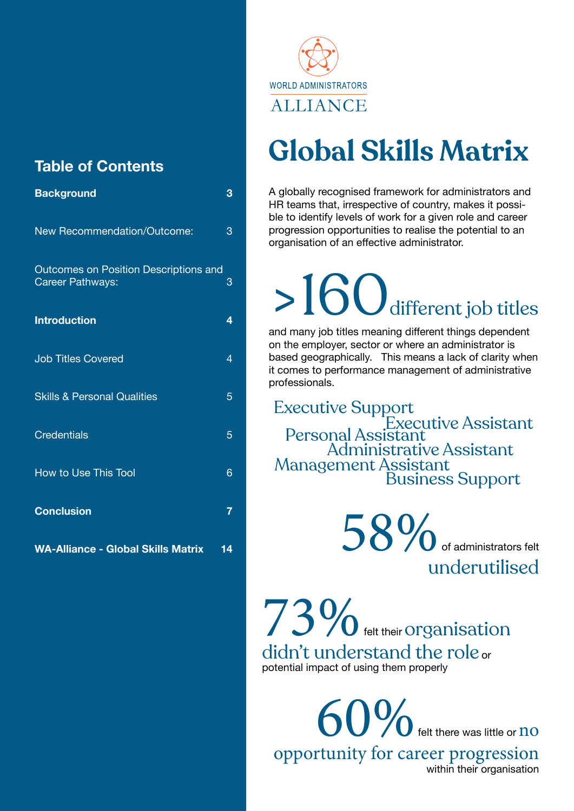# **Table of Contents**

| <b>Background</b>                                         | 3              |
|-----------------------------------------------------------|----------------|
| New Recommendation/Outcome:                               | 3              |
| Outcomes on Position Descriptions and<br>Career Pathways: | 3              |
| <b>Introduction</b>                                       | 4              |
| <b>Job Titles Covered</b>                                 | $\overline{4}$ |
| <b>Skills &amp; Personal Qualities</b>                    | 5              |
| <b>Credentials</b>                                        | 5              |
| <b>How to Use This Tool</b>                               | 6              |
| <b>Conclusion</b>                                         | $\overline{7}$ |
| <b>WA-Alliance - Global Skills Matrix</b>                 | 14             |



# **Global Skills Matrix**

A globally recognised framework for administrators and HR teams that, irrespective of country, makes it possible to identify levels of work for a given role and career progression opportunities to realise the potential to an organisation of an effective administrator.

# $>160$  different job titles

and many job titles meaning different things dependent on the employer, sector or where an administrator is based geographically. This means a lack of clarity when it comes to performance management of administrative professionals.

Administrative Assistant Executive Support Business Support Executive Assistant Personal Assistant Management Assistant

> 58% of administrators felt underutilised

73% felt their Organisation didn't understand the role or potential impact of using them properly

60% felt there was little or no opportunity for career progression within their organisation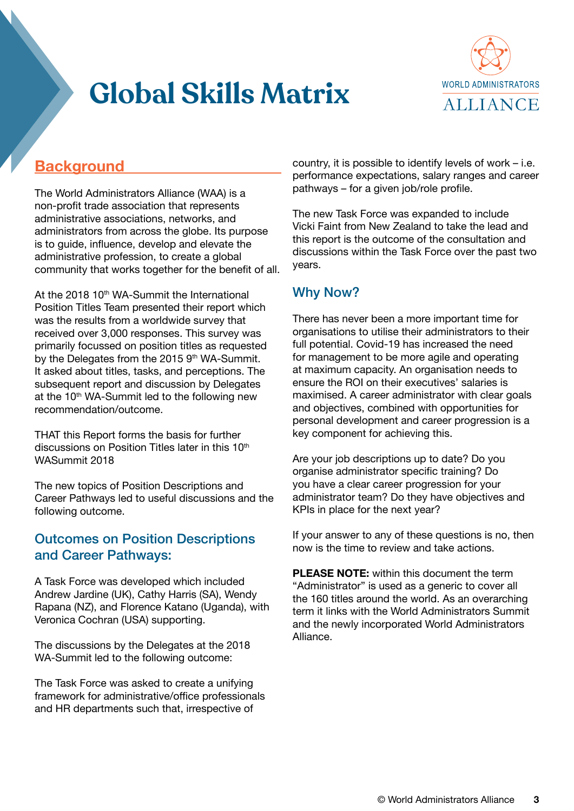

## <span id="page-2-0"></span>**Background**

The World Administrators Alliance (WAA) is a non-profit trade association that represents administrative associations, networks, and administrators from across the globe. Its purpose is to guide, influence, develop and elevate the administrative profession, to create a global community that works together for the benefit of all.

At the 2018 10<sup>th</sup> WA-Summit the International Position Titles Team presented their report which was the results from a worldwide survey that received over 3,000 responses. This survey was primarily focussed on position titles as requested by the Delegates from the 2015 9<sup>th</sup> WA-Summit. It asked about titles, tasks, and perceptions. The subsequent report and discussion by Delegates at the 10<sup>th</sup> WA-Summit led to the following new recommendation/outcome.

THAT this Report forms the basis for further discussions on Position Titles later in this 10<sup>th</sup> WASummit 2018

The new topics of Position Descriptions and Career Pathways led to useful discussions and the following outcome.

#### Outcomes on Position Descriptions and Career Pathways:

A Task Force was developed which included Andrew Jardine (UK), Cathy Harris (SA), Wendy Rapana (NZ), and Florence Katano (Uganda), with Veronica Cochran (USA) supporting.

The discussions by the Delegates at the 2018 WA-Summit led to the following outcome:

The Task Force was asked to create a unifying framework for administrative/office professionals and HR departments such that, irrespective of

country, it is possible to identify levels of work – i.e. performance expectations, salary ranges and career pathways – for a given job/role profile.

The new Task Force was expanded to include Vicki Faint from New Zealand to take the lead and this report is the outcome of the consultation and discussions within the Task Force over the past two years.

#### Why Now?

There has never been a more important time for organisations to utilise their administrators to their full potential. Covid-19 has increased the need for management to be more agile and operating at maximum capacity. An organisation needs to ensure the ROI on their executives' salaries is maximised. A career administrator with clear goals and objectives, combined with opportunities for personal development and career progression is a key component for achieving this.

Are your job descriptions up to date? Do you organise administrator specific training? Do you have a clear career progression for your administrator team? Do they have objectives and KPIs in place for the next year?

If your answer to any of these questions is no, then now is the time to review and take actions.

**PLEASE NOTE:** within this document the term "Administrator" is used as a generic to cover all the 160 titles around the world. As an overarching term it links with the World Administrators Summit and the newly incorporated World Administrators Alliance.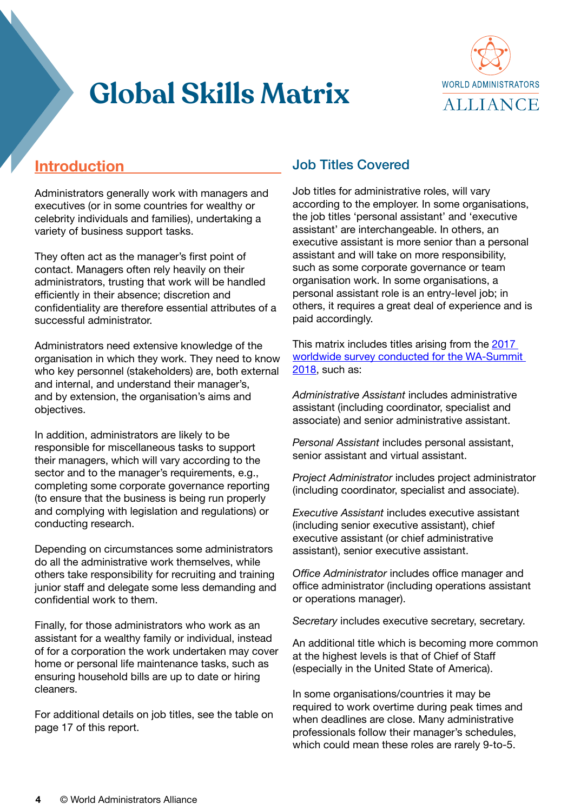

# <span id="page-3-0"></span>**Introduction**

Administrators generally work with managers and executives (or in some countries for wealthy or celebrity individuals and families), undertaking a variety of business support tasks.

They often act as the manager's first point of contact. Managers often rely heavily on their administrators, trusting that work will be handled efficiently in their absence; discretion and confidentiality are therefore essential attributes of a successful administrator.

Administrators need extensive knowledge of the organisation in which they work. They need to know who key personnel (stakeholders) are, both external and internal, and understand their manager's, and by extension, the organisation's aims and objectives.

In addition, administrators are likely to be responsible for miscellaneous tasks to support their managers, which will vary according to the sector and to the manager's requirements, e.g., completing some corporate governance reporting (to ensure that the business is being run properly and complying with legislation and regulations) or conducting research.

Depending on circumstances some administrators do all the administrative work themselves, while others take responsibility for recruiting and training junior staff and delegate some less demanding and confidential work to them.

Finally, for those administrators who work as an assistant for a wealthy family or individual, instead of for a corporation the work undertaken may cover home or personal life maintenance tasks, such as ensuring household bills are up to date or hiring cleaners.

For additional details on job titles, see the table on page 17 of this report.

### Job Titles Covered

Job titles for administrative roles, will vary according to the employer. In some organisations, the job titles 'personal assistant' and 'executive assistant' are interchangeable. In others, an executive assistant is more senior than a personal assistant and will take on more responsibility, such as some corporate governance or team organisation work. In some organisations, a personal assistant role is an entry-level job; in others, it requires a great deal of experience and is paid accordingly.

This matrix includes titles arising from the [2017](https://wa-summit.com/wp-content/uploads/2019/10/2018-WA-Summit-International-Position-Titles-Report-FINAL.pdf)  [worldwide survey conducted for the WA-Summit](https://wa-summit.com/wp-content/uploads/2019/10/2018-WA-Summit-International-Position-Titles-Report-FINAL.pdf)  [2018](https://wa-summit.com/wp-content/uploads/2019/10/2018-WA-Summit-International-Position-Titles-Report-FINAL.pdf), such as:

*Administrative Assistant* includes administrative assistant (including coordinator, specialist and associate) and senior administrative assistant.

*Personal Assistant* includes personal assistant, senior assistant and virtual assistant.

*Project Administrator* includes project administrator (including coordinator, specialist and associate).

*Executive Assistant* includes executive assistant (including senior executive assistant), chief executive assistant (or chief administrative assistant), senior executive assistant.

*Office Administrator* includes office manager and office administrator (including operations assistant or operations manager).

*Secretary* includes executive secretary, secretary.

An additional title which is becoming more common at the highest levels is that of Chief of Staff (especially in the United State of America).

In some organisations/countries it may be required to work overtime during peak times and when deadlines are close. Many administrative professionals follow their manager's schedules, which could mean these roles are rarely 9-to-5.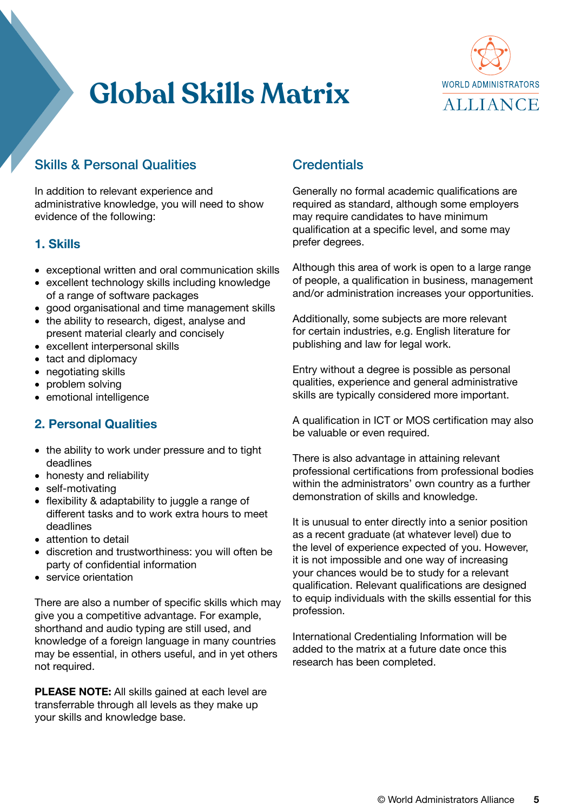

### <span id="page-4-0"></span>Skills & Personal Qualities

In addition to relevant experience and administrative knowledge, you will need to show evidence of the following:

#### **1. Skills**

- exceptional written and oral communication skills
- excellent technology skills including knowledge of a range of software packages
- good organisational and time management skills
- the ability to research, digest, analyse and present material clearly and concisely
- excellent interpersonal skills
- tact and diplomacy
- negotiating skills
- problem solving
- emotional intelligence

#### **2. Personal Qualities**

- the ability to work under pressure and to tight deadlines
- honesty and reliability
- self-motivating
- flexibility & adaptability to juggle a range of different tasks and to work extra hours to meet deadlines
- attention to detail
- discretion and trustworthiness: you will often be party of confidential information
- service orientation

There are also a number of specific skills which may give you a competitive advantage. For example, shorthand and audio typing are still used, and knowledge of a foreign language in many countries may be essential, in others useful, and in yet others not required.

**PLEASE NOTE:** All skills gained at each level are transferrable through all levels as they make up your skills and knowledge base.

### **Credentials**

Generally no formal academic qualifications are required as standard, although some employers may require candidates to have minimum qualification at a specific level, and some may prefer degrees.

Although this area of work is open to a large range of people, a qualification in business, management and/or administration increases your opportunities.

Additionally, some subjects are more relevant for certain industries, e.g. English literature for publishing and law for legal work.

Entry without a degree is possible as personal qualities, experience and general administrative skills are typically considered more important.

A qualification in ICT or MOS certification may also be valuable or even required.

There is also advantage in attaining relevant professional certifications from professional bodies within the administrators' own country as a further demonstration of skills and knowledge.

It is unusual to enter directly into a senior position as a recent graduate (at whatever level) due to the level of experience expected of you. However, it is not impossible and one way of increasing your chances would be to study for a relevant qualification. Relevant qualifications are designed to equip individuals with the skills essential for this profession.

International Credentialing Information will be added to the matrix at a future date once this research has been completed.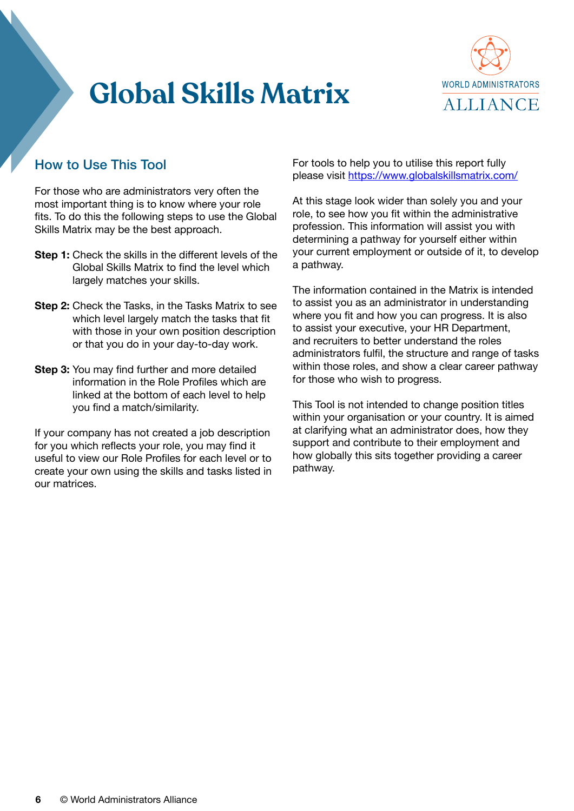

### <span id="page-5-0"></span>How to Use This Tool

For those who are administrators very often the most important thing is to know where your role fits. To do this the following steps to use the Global Skills Matrix may be the best approach.

- **Step 1:** Check the skills in the different levels of the Global Skills Matrix to find the level which largely matches your skills.
- **Step 2:** Check the Tasks, in the Tasks Matrix to see which level largely match the tasks that fit with those in your own position description or that you do in your day-to-day work.
- **Step 3:** You may find further and more detailed information in the Role Profiles which are linked at the bottom of each level to help you find a match/similarity.

If your company has not created a job description for you which reflects your role, you may find it useful to view our Role Profiles for each level or to create your own using the skills and tasks listed in our matrices.

For tools to help you to utilise this report fully please visit https://www.globalskillsmatrix.com/

At this stage look wider than solely you and your role, to see how you fit within the administrative profession. This information will assist you with determining a pathway for yourself either within your current employment or outside of it, to develop a pathway.

The information contained in the Matrix is intended to assist you as an administrator in understanding where you fit and how you can progress. It is also to assist your executive, your HR Department, and recruiters to better understand the roles administrators fulfil, the structure and range of tasks within those roles, and show a clear career pathway for those who wish to progress.

This Tool is not intended to change position titles within your organisation or your country. It is aimed at clarifying what an administrator does, how they support and contribute to their employment and how globally this sits together providing a career pathway.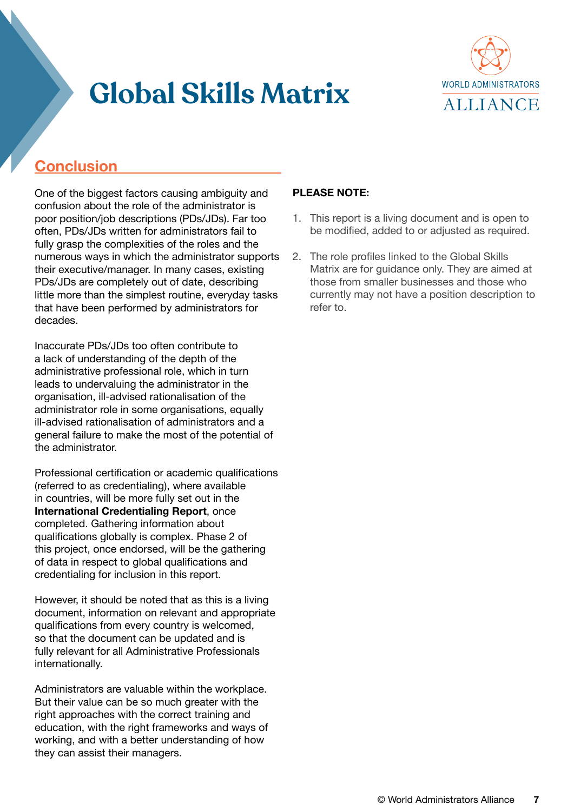

# <span id="page-6-0"></span>**Conclusion**

One of the biggest factors causing ambiguity and confusion about the role of the administrator is poor position/job descriptions (PDs/JDs). Far too often, PDs/JDs written for administrators fail to fully grasp the complexities of the roles and the numerous ways in which the administrator supports their executive/manager. In many cases, existing PDs/JDs are completely out of date, describing little more than the simplest routine, everyday tasks that have been performed by administrators for decades.

Inaccurate PDs/JDs too often contribute to a lack of understanding of the depth of the administrative professional role, which in turn leads to undervaluing the administrator in the organisation, ill-advised rationalisation of the administrator role in some organisations, equally ill-advised rationalisation of administrators and a general failure to make the most of the potential of the administrator.

Professional certification or academic qualifications (referred to as credentialing), where available in countries, will be more fully set out in the **International Credentialing Report**, once completed. Gathering information about qualifications globally is complex. Phase 2 of this project, once endorsed, will be the gathering of data in respect to global qualifications and credentialing for inclusion in this report.

However, it should be noted that as this is a living document, information on relevant and appropriate qualifications from every country is welcomed, so that the document can be updated and is fully relevant for all Administrative Professionals internationally.

Administrators are valuable within the workplace. But their value can be so much greater with the right approaches with the correct training and education, with the right frameworks and ways of working, and with a better understanding of how they can assist their managers.

#### **PLEASE NOTE:**

- 1. This report is a living document and is open to be modified, added to or adjusted as required.
- 2. The role profiles linked to the Global Skills Matrix are for guidance only. They are aimed at those from smaller businesses and those who currently may not have a position description to refer to.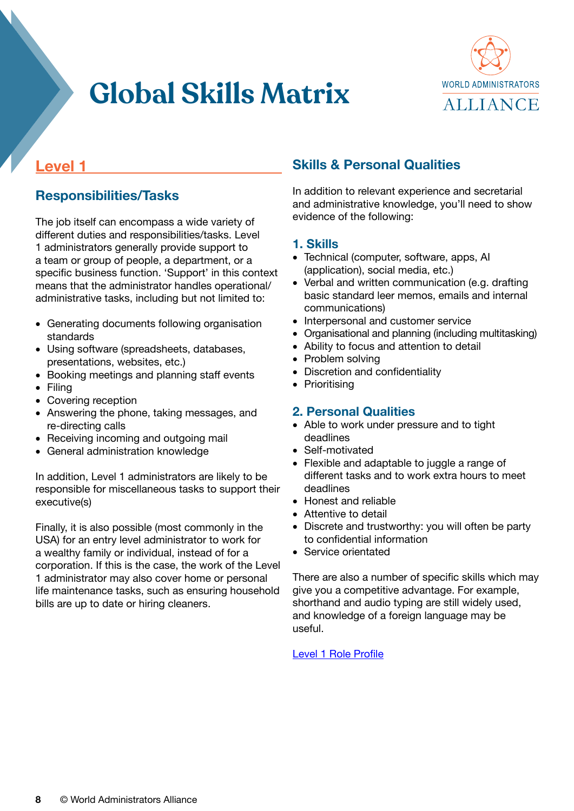

### **Level 1**

### **Responsibilities/Tasks**

The job itself can encompass a wide variety of different duties and responsibilities/tasks. Level 1 administrators generally provide support to a team or group of people, a department, or a specific business function. 'Support' in this context means that the administrator handles operational/ administrative tasks, including but not limited to:

- Generating documents following organisation standards
- Using software (spreadsheets, databases, presentations, websites, etc.)
- Booking meetings and planning staff events
- Filing
- Covering reception
- Answering the phone, taking messages, and re-directing calls
- Receiving incoming and outgoing mail
- General administration knowledge

In addition, Level 1 administrators are likely to be responsible for miscellaneous tasks to support their executive(s)

Finally, it is also possible (most commonly in the USA) for an entry level administrator to work for a wealthy family or individual, instead of for a corporation. If this is the case, the work of the Level 1 administrator may also cover home or personal life maintenance tasks, such as ensuring household bills are up to date or hiring cleaners.

### **Skills & Personal Qualities**

In addition to relevant experience and secretarial and administrative knowledge, you'll need to show evidence of the following:

#### **1. Skills**

- Technical (computer, software, apps, AI (application), social media, etc.)
- Verbal and written communication (e.g. drafting basic standard leer memos, emails and internal communications)
- Interpersonal and customer service
- Organisational and planning (including multitasking)
- Ability to focus and attention to detail
- Problem solving
- Discretion and confidentiality
- Prioritising

#### **2. Personal Qualities**

- Able to work under pressure and to tight deadlines
- Self-motivated
- Flexible and adaptable to juggle a range of different tasks and to work extra hours to meet deadlines
- Honest and reliable
- Attentive to detail
- Discrete and trustworthy: you will often be party to confidential information
- Service orientated

There are also a number of specific skills which may give you a competitive advantage. For example, shorthand and audio typing are still widely used, and knowledge of a foreign language may be useful.

[Level 1 Role Profile](https://wa-summit.com/wp-content/uploads/2021/09/2021-09-16-Level-1-Job-Profile.pdf)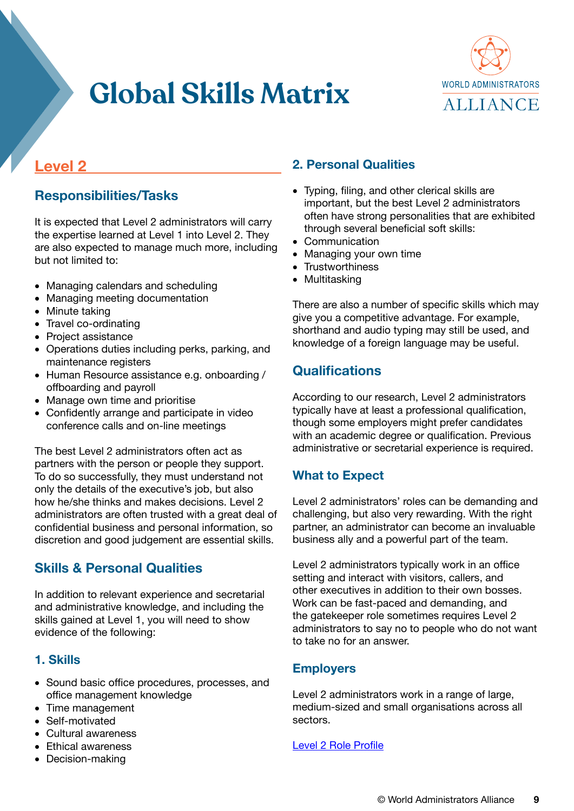

### **Level 2**

### **Responsibilities/Tasks**

It is expected that Level 2 administrators will carry the expertise learned at Level 1 into Level 2. They are also expected to manage much more, including but not limited to:

- Managing calendars and scheduling
- Managing meeting documentation
- Minute taking
- Travel co-ordinating
- Project assistance
- Operations duties including perks, parking, and maintenance registers
- Human Resource assistance e.g. onboarding / offboarding and payroll
- Manage own time and prioritise
- Confidently arrange and participate in video conference calls and on-line meetings

The best Level 2 administrators often act as partners with the person or people they support. To do so successfully, they must understand not only the details of the executive's job, but also how he/she thinks and makes decisions. Level 2 administrators are often trusted with a great deal of confidential business and personal information, so discretion and good judgement are essential skills.

### **Skills & Personal Qualities**

In addition to relevant experience and secretarial and administrative knowledge, and including the skills gained at Level 1, you will need to show evidence of the following:

#### **1. Skills**

- Sound basic office procedures, processes, and office management knowledge
- Time management
- Self-motivated
- Cultural awareness
- Ethical awareness
- Decision-making

#### **2. Personal Qualities**

- Typing, filing, and other clerical skills are important, but the best Level 2 administrators often have strong personalities that are exhibited through several beneficial soft skills:
- Communication
- Managing your own time
- Trustworthiness
- Multitasking

There are also a number of specific skills which may give you a competitive advantage. For example, shorthand and audio typing may still be used, and knowledge of a foreign language may be useful.

#### **Qualifications**

According to our research, Level 2 administrators typically have at least a professional qualification, though some employers might prefer candidates with an academic degree or qualification. Previous administrative or secretarial experience is required.

#### **What to Expect**

Level 2 administrators' roles can be demanding and challenging, but also very rewarding. With the right partner, an administrator can become an invaluable business ally and a powerful part of the team.

Level 2 administrators typically work in an office setting and interact with visitors, callers, and other executives in addition to their own bosses. Work can be fast-paced and demanding, and the gatekeeper role sometimes requires Level 2 administrators to say no to people who do not want to take no for an answer.

#### **Employers**

Level 2 administrators work in a range of large, medium-sized and small organisations across all sectors.

[Level 2 Role Profile](https://wa-summit.com/wp-content/uploads/2021/09/2021-09-16-Level-2-Job-Profile.pdf)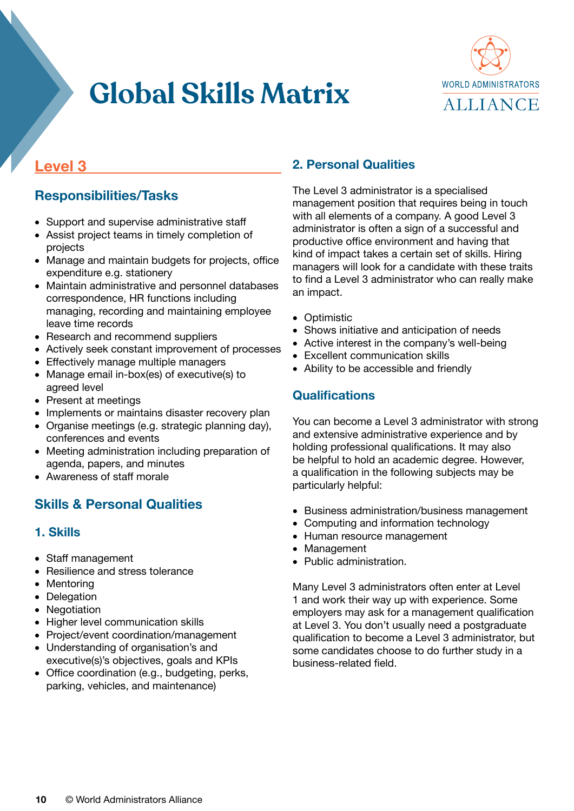

### **Level 3**

### **Responsibilities/Tasks**

- Support and supervise administrative staff
- Assist project teams in timely completion of projects
- Manage and maintain budgets for projects, office expenditure e.g. stationery
- Maintain administrative and personnel databases correspondence, HR functions including managing, recording and maintaining employee leave time records
- Research and recommend suppliers
- Actively seek constant improvement of processes
- Effectively manage multiple managers
- Manage email in-box(es) of executive(s) to agreed level
- Present at meetings
- Implements or maintains disaster recovery plan
- Organise meetings (e.g. strategic planning day), conferences and events
- Meeting administration including preparation of agenda, papers, and minutes
- Awareness of staff morale

#### **Skills & Personal Qualities**

#### **1. Skills**

- Staff management
- Resilience and stress tolerance
- Mentoring
- Delegation
- Negotiation
- Higher level communication skills
- Project/event coordination/management
- Understanding of organisation's and executive(s)'s objectives, goals and KPIs
- Office coordination (e.g., budgeting, perks, parking, vehicles, and maintenance)

#### **2. Personal Qualities**

The Level 3 administrator is a specialised management position that requires being in touch with all elements of a company. A good Level 3 administrator is often a sign of a successful and productive office environment and having that kind of impact takes a certain set of skills. Hiring managers will look for a candidate with these traits to find a Level 3 administrator who can really make an impact.

- Optimistic
- Shows initiative and anticipation of needs
- Active interest in the company's well-being
- Excellent communication skills
- Ability to be accessible and friendly

#### **Qualifications**

You can become a Level 3 administrator with strong and extensive administrative experience and by holding professional qualifications. It may also be helpful to hold an academic degree. However, a qualification in the following subjects may be particularly helpful:

- Business administration/business management
- Computing and information technology
- Human resource management
- Management
- Public administration.

Many Level 3 administrators often enter at Level 1 and work their way up with experience. Some employers may ask for a management qualification at Level 3. You don't usually need a postgraduate qualification to become a Level 3 administrator, but some candidates choose to do further study in a business-related field.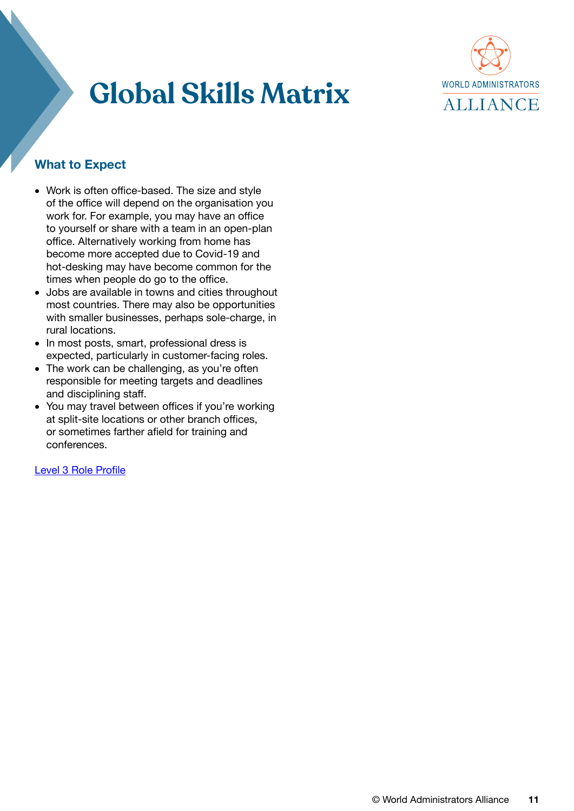

#### **What to Expect**

- Work is often office-based. The size and style of the office will depend on the organisation you work for. For example, you may have an office to yourself or share with a team in an open-plan office. Alternatively working from home has become more accepted due to Covid-19 and hot-desking may have become common for the times when people do go to the office.
- Jobs are available in towns and cities throughout most countries. There may also be opportunities with smaller businesses, perhaps sole-charge, in rural locations.
- In most posts, smart, professional dress is expected, particularly in customer-facing roles.
- The work can be challenging, as you're often responsible for meeting targets and deadlines and disciplining staff.
- You may travel between offices if you're working at split-site locations or other branch offices, or sometimes farther afield for training and conferences.

[Level 3 Role Profile](https://wa-summit.com/wp-content/uploads/2021/09/2021-09-16-Level-3-Job-Profile.pdf)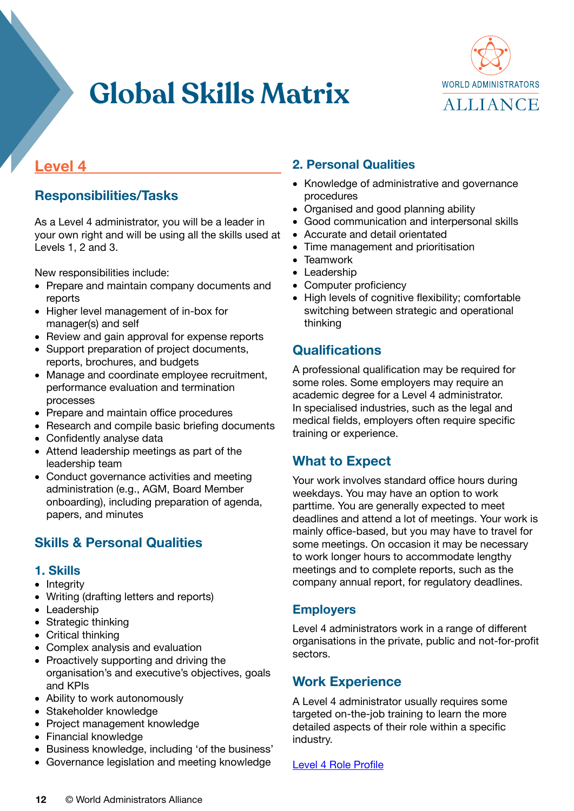

### **Level 4**

### **Responsibilities/Tasks**

As a Level 4 administrator, you will be a leader in your own right and will be using all the skills used at Levels 1, 2 and 3.

New responsibilities include:

- Prepare and maintain company documents and reports
- Higher level management of in-box for manager(s) and self
- Review and gain approval for expense reports
- Support preparation of project documents, reports, brochures, and budgets
- Manage and coordinate employee recruitment, performance evaluation and termination processes
- Prepare and maintain office procedures
- Research and compile basic briefing documents
- Confidently analyse data
- Attend leadership meetings as part of the leadership team
- Conduct governance activities and meeting administration (e.g., AGM, Board Member onboarding), including preparation of agenda, papers, and minutes

#### **Skills & Personal Qualities**

#### **1. Skills**

- Integrity
- Writing (drafting letters and reports)
- Leadership
- Strategic thinking
- Critical thinking
- Complex analysis and evaluation
- Proactively supporting and driving the organisation's and executive's objectives, goals and KPIs
- Ability to work autonomously
- Stakeholder knowledge
- Project management knowledge
- Financial knowledge
- Business knowledge, including 'of the business'
- Governance legislation and meeting knowledge

### **2. Personal Qualities**

- Knowledge of administrative and governance procedures
- Organised and good planning ability
- Good communication and interpersonal skills
- Accurate and detail orientated
- Time management and prioritisation
- Teamwork
- Leadership
- Computer proficiency
- High levels of cognitive flexibility; comfortable switching between strategic and operational thinking

#### **Qualifications**

A professional qualification may be required for some roles. Some employers may require an academic degree for a Level 4 administrator. In specialised industries, such as the legal and medical fields, employers often require specific training or experience.

#### **What to Expect**

Your work involves standard office hours during weekdays. You may have an option to work parttime. You are generally expected to meet deadlines and attend a lot of meetings. Your work is mainly office-based, but you may have to travel for some meetings. On occasion it may be necessary to work longer hours to accommodate lengthy meetings and to complete reports, such as the company annual report, for regulatory deadlines.

#### **Employers**

Level 4 administrators work in a range of different organisations in the private, public and not-for-profit sectors.

#### **Work Experience**

A Level 4 administrator usually requires some targeted on-the-job training to learn the more detailed aspects of their role within a specific industry.

#### [Level 4 Role Profile](https://wa-summit.com/wp-content/uploads/2021/09/2021-09-16-Level-4-Job-Profile.pdf)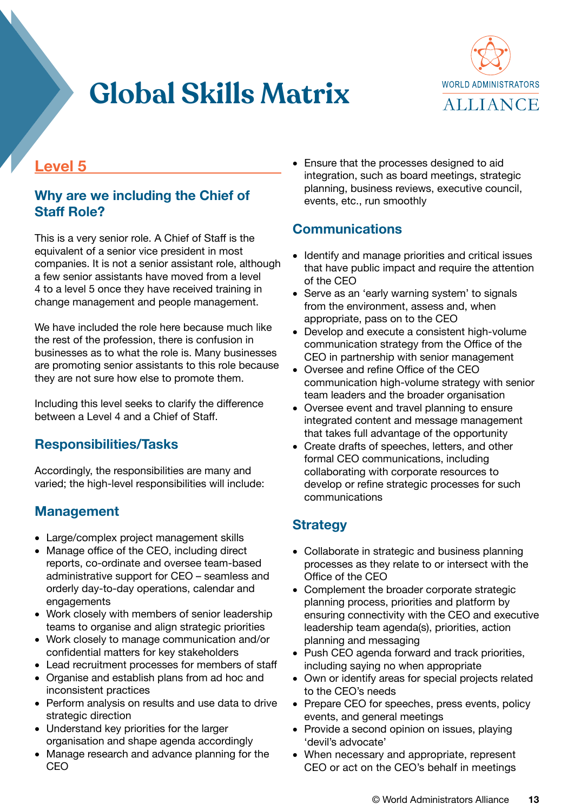

### **Level 5**

#### **Why are we including the Chief of Staff Role?**

This is a very senior role. A Chief of Staff is the equivalent of a senior vice president in most companies. It is not a senior assistant role, although a few senior assistants have moved from a level 4 to a level 5 once they have received training in change management and people management.

We have included the role here because much like the rest of the profession, there is confusion in businesses as to what the role is. Many businesses are promoting senior assistants to this role because they are not sure how else to promote them.

Including this level seeks to clarify the difference between a Level 4 and a Chief of Staff.

#### **Responsibilities/Tasks**

Accordingly, the responsibilities are many and varied; the high-level responsibilities will include:

### **Management**

- Large/complex project management skills
- Manage office of the CEO, including direct reports, co-ordinate and oversee team-based administrative support for CEO – seamless and orderly day-to-day operations, calendar and engagements
- Work closely with members of senior leadership teams to organise and align strategic priorities
- Work closely to manage communication and/or confidential matters for key stakeholders
- Lead recruitment processes for members of staff
- Organise and establish plans from ad hoc and inconsistent practices
- Perform analysis on results and use data to drive strategic direction
- Understand key priorities for the larger organisation and shape agenda accordingly
- Manage research and advance planning for the CEO

• Ensure that the processes designed to aid integration, such as board meetings, strategic planning, business reviews, executive council, events, etc., run smoothly

#### **Communications**

- Identify and manage priorities and critical issues that have public impact and require the attention of the CEO
- Serve as an 'early warning system' to signals from the environment, assess and, when appropriate, pass on to the CEO
- Develop and execute a consistent high-volume communication strategy from the Office of the CEO in partnership with senior management
- Oversee and refine Office of the CEO communication high-volume strategy with senior team leaders and the broader organisation
- Oversee event and travel planning to ensure integrated content and message management that takes full advantage of the opportunity
- Create drafts of speeches, letters, and other formal CEO communications, including collaborating with corporate resources to develop or refine strategic processes for such communications

#### **Strategy**

- Collaborate in strategic and business planning processes as they relate to or intersect with the Office of the CEO
- Complement the broader corporate strategic planning process, priorities and platform by ensuring connectivity with the CEO and executive leadership team agenda(s), priorities, action planning and messaging
- Push CEO agenda forward and track priorities, including saying no when appropriate
- Own or identify areas for special projects related to the CEO's needs
- Prepare CEO for speeches, press events, policy events, and general meetings
- Provide a second opinion on issues, playing 'devil's advocate'
- When necessary and appropriate, represent CEO or act on the CEO's behalf in meetings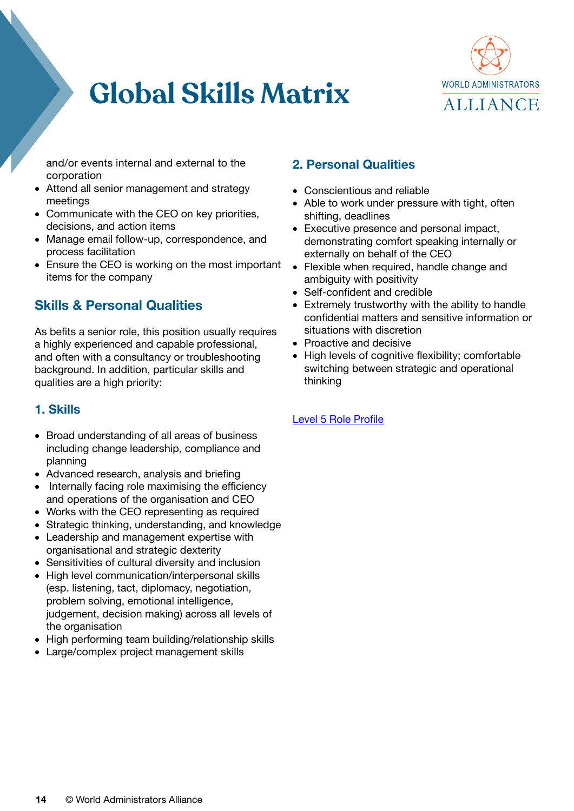

and/or events internal and external to the corporation

- Attend all senior management and strategy meetings
- Communicate with the CEO on key priorities, decisions, and action items
- Manage email follow-up, correspondence, and process facilitation
- Ensure the CEO is working on the most important items for the company

### **Skills & Personal Qualities**

As befits a senior role, this position usually requires a highly experienced and capable professional, and often with a consultancy or troubleshooting background. In addition, particular skills and qualities are a high priority:

#### **1. Skills**

- Broad understanding of all areas of business including change leadership, compliance and planning
- Advanced research, analysis and briefing
- Internally facing role maximising the efficiency and operations of the organisation and CEO
- Works with the CEO representing as required
- Strategic thinking, understanding, and knowledge
- Leadership and management expertise with organisational and strategic dexterity
- Sensitivities of cultural diversity and inclusion
- High level communication/interpersonal skills (esp. listening, tact, diplomacy, negotiation, problem solving, emotional intelligence, judgement, decision making) across all levels of the organisation
- High performing team building/relationship skills
- Large/complex project management skills

#### **2. Personal Qualities**

- Conscientious and reliable
- Able to work under pressure with tight, often shifting, deadlines
- Executive presence and personal impact, demonstrating comfort speaking internally or externally on behalf of the CEO
- Flexible when required, handle change and ambiguity with positivity
- Self-confident and credible
- Extremely trustworthy with the ability to handle confidential matters and sensitive information or situations with discretion
- Proactive and decisive
- High levels of cognitive flexibility; comfortable switching between strategic and operational thinking

#### [Level 5 Role Profile](https://wa-summit.com/wp-content/uploads/2021/09/2021-09-16-Level-5-Job-Profile.pdf)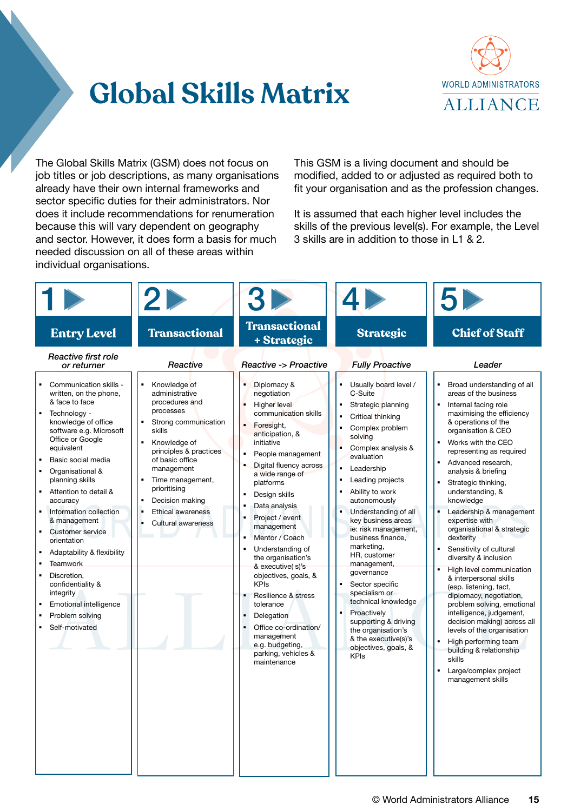

The Global Skills Matrix (GSM) does not focus on job titles or job descriptions, as many organisations already have their own internal frameworks and sector specific duties for their administrators. Nor does it include recommendations for renumeration because this will vary dependent on geography and sector. However, it does form a basis for much needed discussion on all of these areas within individual organisations.

This GSM is a living document and should be modified, added to or adjusted as required both to fit your organisation and as the profession changes.

It is assumed that each higher level includes the skills of the previous level(s). For example, the Level 3 skills are in addition to those in L1 & 2.

| <b>Entry Level</b>                                                                                                                                                                                                                                                                                                                                                                                                                                                                                                                                                                              | <b>Transactional</b>                                                                                                                                                                                                                                                                     | <b>Transactional</b><br>+ Strategic                                                                                                                                                                                                                                                                                                                                                                                                                                                                                                                                   | <b>Strategic</b>                                                                                                                                                                                                                                                                                                                                                                                                                                                                                                                                                                  | <b>Chief of Staff</b>                                                                                                                                                                                                                                                                                                                                                                                                                                                                                                                                                                                                                                                                                                                                                                                                   |
|-------------------------------------------------------------------------------------------------------------------------------------------------------------------------------------------------------------------------------------------------------------------------------------------------------------------------------------------------------------------------------------------------------------------------------------------------------------------------------------------------------------------------------------------------------------------------------------------------|------------------------------------------------------------------------------------------------------------------------------------------------------------------------------------------------------------------------------------------------------------------------------------------|-----------------------------------------------------------------------------------------------------------------------------------------------------------------------------------------------------------------------------------------------------------------------------------------------------------------------------------------------------------------------------------------------------------------------------------------------------------------------------------------------------------------------------------------------------------------------|-----------------------------------------------------------------------------------------------------------------------------------------------------------------------------------------------------------------------------------------------------------------------------------------------------------------------------------------------------------------------------------------------------------------------------------------------------------------------------------------------------------------------------------------------------------------------------------|-------------------------------------------------------------------------------------------------------------------------------------------------------------------------------------------------------------------------------------------------------------------------------------------------------------------------------------------------------------------------------------------------------------------------------------------------------------------------------------------------------------------------------------------------------------------------------------------------------------------------------------------------------------------------------------------------------------------------------------------------------------------------------------------------------------------------|
| Reactive first role<br>or returner                                                                                                                                                                                                                                                                                                                                                                                                                                                                                                                                                              | Reactive                                                                                                                                                                                                                                                                                 | <b>Reactive -&gt; Proactive</b>                                                                                                                                                                                                                                                                                                                                                                                                                                                                                                                                       | <b>Fully Proactive</b>                                                                                                                                                                                                                                                                                                                                                                                                                                                                                                                                                            | Leader                                                                                                                                                                                                                                                                                                                                                                                                                                                                                                                                                                                                                                                                                                                                                                                                                  |
| Communication skills -<br>written, on the phone,<br>& face to face<br>Technology -<br>$\blacksquare$<br>knowledge of office<br>software e.g. Microsoft<br>Office or Google<br>equivalent<br>Basic social media<br>$\blacksquare$<br>Organisational &<br>planning skills<br>Attention to detail &<br>accuracy<br>Information collection<br>& management<br><b>Customer service</b><br>orientation<br>Adaptability & flexibility<br><b>Teamwork</b><br>Discretion.<br>$\blacksquare$<br>confidentiality &<br>integrity<br><b>Emotional intelligence</b><br>Problem solving<br>Self-motivated<br>٠ | Knowledge of<br>administrative<br>procedures and<br>processes<br>Strong communication<br>skills<br>Knowledge of<br>٠<br>principles & practices<br>of basic office<br>management<br>Time management,<br>prioritising<br>Decision making<br><b>Ethical awareness</b><br>Cultural awareness | Diplomacy &<br>negotiation<br><b>Higher level</b><br>communication skills<br>Foresight,<br>anticipation, &<br>initiative<br>People management<br>Digital fluency across<br>a wide range of<br>platforms<br>Design skills<br>Data analysis<br>Project / event<br>management<br>Mentor / Coach<br>Understanding of<br>the organisation's<br>& executive(s)'s<br>objectives, goals, &<br><b>KPIs</b><br>Resilience & stress<br>$\blacksquare$<br>tolerance<br>Delegation<br>Office co-ordination/<br>management<br>e.g. budgeting,<br>parking, vehicles &<br>maintenance | Usually board level /<br>C-Suite<br>Strategic planning<br>Critical thinking<br>Complex problem<br>solving<br>Complex analysis &<br>evaluation<br>$\blacksquare$<br>Leadership<br>Leading projects<br>Ability to work<br>autonomously<br>Understanding of all<br>key business areas<br>ie: risk management,<br>business finance,<br>marketing,<br>HR, customer<br>management,<br>governance<br>Sector specific<br>specialism or<br>technical knowledge<br>Proactively<br>supporting & driving<br>the organisation's<br>& the executive(s)'s<br>objectives, goals, &<br><b>KPIs</b> | Broad understanding of all<br>areas of the business<br>Internal facing role<br>maximising the efficiency<br>& operations of the<br>organisation & CEO<br>Works with the CEO<br>$\blacksquare$<br>representing as required<br>Advanced research,<br>analysis & briefing<br>Strategic thinking,<br>understanding, &<br>knowledge<br>Leadership & management<br>expertise with<br>organisational & strategic<br>dexterity<br>Sensitivity of cultural<br>diversity & inclusion<br>High level communication<br>& interpersonal skills<br>(esp. listening, tact,<br>diplomacy, negotiation,<br>problem solving, emotional<br>intelligence, judgement,<br>decision making) across all<br>levels of the organisation<br>High performing team<br>building & relationship<br>skills<br>Large/complex project<br>management skills |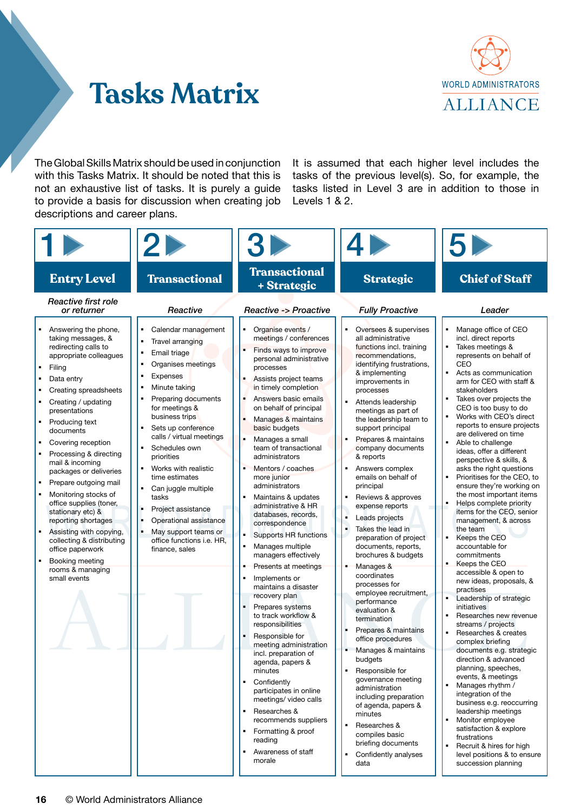

# **Tasks Matrix**

The Global Skills Matrix should be used in conjunction with this Tasks Matrix. It should be noted that this is not an exhaustive list of tasks. It is purely a guide to provide a basis for discussion when creating job descriptions and career plans.

It is assumed that each higher level includes the tasks of the previous level(s). So, for example, the tasks listed in Level 3 are in addition to those in Levels 1 & 2.

|                                                                                                                                                                                                                                                                                                                                                                                                                                                           |                                                                                                                                                                                                                                                                                                                                                                                                           | 31<br><b>Transactional</b>                                                                                                                                                                                                                                                                                                                                                                                                                                                                                                                                                  |                                                                                                                                                                                                                                                                                                                                                                                                                                                                                                                              |                                                                                                                                                                                                                                                                                                                                                                                                                                                                                                                                                                                                                                                                                        |
|-----------------------------------------------------------------------------------------------------------------------------------------------------------------------------------------------------------------------------------------------------------------------------------------------------------------------------------------------------------------------------------------------------------------------------------------------------------|-----------------------------------------------------------------------------------------------------------------------------------------------------------------------------------------------------------------------------------------------------------------------------------------------------------------------------------------------------------------------------------------------------------|-----------------------------------------------------------------------------------------------------------------------------------------------------------------------------------------------------------------------------------------------------------------------------------------------------------------------------------------------------------------------------------------------------------------------------------------------------------------------------------------------------------------------------------------------------------------------------|------------------------------------------------------------------------------------------------------------------------------------------------------------------------------------------------------------------------------------------------------------------------------------------------------------------------------------------------------------------------------------------------------------------------------------------------------------------------------------------------------------------------------|----------------------------------------------------------------------------------------------------------------------------------------------------------------------------------------------------------------------------------------------------------------------------------------------------------------------------------------------------------------------------------------------------------------------------------------------------------------------------------------------------------------------------------------------------------------------------------------------------------------------------------------------------------------------------------------|
| <b>Entry Level</b><br>Reactive first role<br>or returner<br>Answering the phone,<br>taking messages, &<br>redirecting calls to<br>appropriate colleagues<br>Filing<br>Data entry<br>Creating spreadsheets<br>Creating / updating<br>presentations<br>Producing text<br>documents<br>Covering reception<br>Processing & directing<br>mail & incoming<br>packages or deliveries<br>Prepare outgoing mail<br>Monitoring stocks of<br>office supplies (toner, | <b>Transactional</b><br>Reactive<br>٠<br>Calendar management<br>٠<br>Travel arranging<br>Email triage<br>٠<br>Organises meetings<br>Expenses<br>Minute taking<br>Preparing documents<br>for meetings &<br>business trips<br>Sets up conference<br>calls / virtual meetings<br>Schedules own<br>priorities<br>Works with realistic<br>time estimates<br>Can juggle multiple<br>tasks<br>Project assistance | + Strategic<br><b>Reactive -&gt; Proactive</b><br>٠<br>Organise events /<br>meetings / conferences<br>Finds ways to improve<br>personal administrative<br>processes<br>Assists project teams<br>in timely completion<br>Answers basic emails<br>on behalf of principal<br>Manages & maintains<br>basic budgets<br>٠<br>Manages a small<br>team of transactional<br>administrators<br>Mentors / coaches<br>more junior<br>administrators<br>Maintains & updates<br>administrative & HR                                                                                       | <b>Strategic</b><br><b>Fully Proactive</b><br>$\blacksquare$<br>Oversees & supervises<br>all administrative<br>functions incl. training<br>recommendations,<br>identifying frustrations,<br>& implementing<br>improvements in<br>processes<br>Attends leadership<br>meetings as part of<br>the leadership team to<br>support principal<br>Prepares & maintains<br>company documents<br>& reports<br>Answers complex<br>emails on behalf of<br>principal<br>Reviews & approves<br>expense reports                             | <b>Chief of Staff</b><br>Leader<br>Manage office of CEO<br>incl. direct reports<br>Takes meetings &<br>represents on behalf of<br>CEO<br>Acts as communication<br>arm for CEO with staff &<br>stakeholders<br>Takes over projects the<br>CEO is too busy to do<br>Works with CEO's direct<br>reports to ensure projects<br>are delivered on time<br>Able to challenge<br>ideas, offer a different<br>perspective & skills, &<br>asks the right questions<br>Prioritises for the CEO, to<br>ensure they're working on<br>the most important items<br>Helps complete priority                                                                                                            |
| stationary etc) &<br>reporting shortages<br>Assisting with copying,<br>collecting & distributing<br>office paperwork<br>Booking meeting<br>$\blacksquare$<br>rooms & managing<br>small events                                                                                                                                                                                                                                                             | ٠<br>Operational assistance<br>٠<br>May support teams or<br>office functions i.e. HR,<br>finance, sales                                                                                                                                                                                                                                                                                                   | databases, records,<br>correspondence<br>٠<br>Supports HR functions<br>Manages multiple<br>٠<br>managers effectively<br>Presents at meetings<br>٠<br>Implements or<br>$\blacksquare$<br>maintains a disaster<br>recovery plan<br>Prepares systems<br>to track workflow &<br>responsibilities<br>Responsible for<br>meeting administration<br>incl. preparation of<br>agenda, papers &<br>minutes<br>Confidently<br>participates in online<br>meetings/ video calls<br>Researches &<br>recommends suppliers<br>Formatting & proof<br>reading<br>Awareness of staff<br>morale | Leads projects<br>Takes the lead in<br>preparation of project<br>documents, reports,<br>brochures & budgets<br>Manages &<br>coordinates<br>processes for<br>employee recruitment,<br>performance<br>evaluation &<br>termination<br>Prepares & maintains<br>office procedures<br>Manages & maintains<br>budgets<br>Responsible for<br>governance meeting<br>administration<br>including preparation<br>of agenda, papers &<br>minutes<br>Researches &<br>compiles basic<br>briefing documents<br>Confidently analyses<br>data | items for the CEO, senior<br>management, & across<br>the team<br>Keeps the CEO<br>accountable for<br>commitments<br>Keeps the CEO<br>accessible & open to<br>new ideas, proposals, &<br>practises<br>Leadership of strategic<br>initiatives<br>Researches new revenue<br>streams / projects<br>Researches & creates<br>complex briefing<br>documents e.g. strategic<br>direction & advanced<br>planning, speeches,<br>events, & meetings<br>Manages rhythm /<br>integration of the<br>business e.g. reoccurring<br>leadership meetings<br>Monitor employee<br>satisfaction & explore<br>frustrations<br>Recruit & hires for high<br>level positions & to ensure<br>succession planning |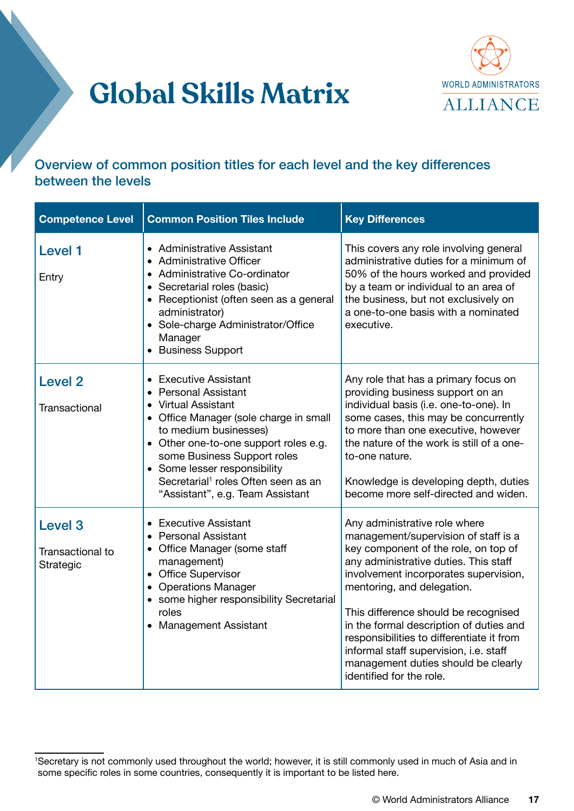



#### Overview of common position titles for each level and the key differences between the levels

| <b>Competence Level</b>                             | <b>Common Position Tiles Include</b>                                                                                                                                                                                                                                                                                                   | <b>Key Differences</b>                                                                                                                                                                                                                                                                                                                                                                                                                                                     |
|-----------------------------------------------------|----------------------------------------------------------------------------------------------------------------------------------------------------------------------------------------------------------------------------------------------------------------------------------------------------------------------------------------|----------------------------------------------------------------------------------------------------------------------------------------------------------------------------------------------------------------------------------------------------------------------------------------------------------------------------------------------------------------------------------------------------------------------------------------------------------------------------|
| <b>Level 1</b><br>Entry                             | • Administrative Assistant<br>• Administrative Officer<br>• Administrative Co-ordinator<br>• Secretarial roles (basic)<br>• Receptionist (often seen as a general<br>administrator)<br>• Sole-charge Administrator/Office<br>Manager<br>• Business Support                                                                             | This covers any role involving general<br>administrative duties for a minimum of<br>50% of the hours worked and provided<br>by a team or individual to an area of<br>the business, but not exclusively on<br>a one-to-one basis with a nominated<br>executive.                                                                                                                                                                                                             |
| <b>Level 2</b><br><b>Transactional</b>              | • Executive Assistant<br>• Personal Assistant<br>• Virtual Assistant<br>• Office Manager (sole charge in small<br>to medium businesses)<br>• Other one-to-one support roles e.g.<br>some Business Support roles<br>• Some lesser responsibility<br>Secretarial <sup>1</sup> roles Often seen as an<br>"Assistant", e.g. Team Assistant | Any role that has a primary focus on<br>providing business support on an<br>individual basis (i.e. one-to-one). In<br>some cases, this may be concurrently<br>to more than one executive, however<br>the nature of the work is still of a one-<br>to-one nature.<br>Knowledge is developing depth, duties<br>become more self-directed and widen.                                                                                                                          |
| Level <sub>3</sub><br>Transactional to<br>Strategic | • Executive Assistant<br>• Personal Assistant<br>• Office Manager (some staff<br>management)<br>• Office Supervisor<br>• Operations Manager<br>• some higher responsibility Secretarial<br>roles<br>• Management Assistant                                                                                                             | Any administrative role where<br>management/supervision of staff is a<br>key component of the role, on top of<br>any administrative duties. This staff<br>involvement incorporates supervision,<br>mentoring, and delegation.<br>This difference should be recognised<br>in the formal description of duties and<br>responsibilities to differentiate it from<br>informal staff supervision, i.e. staff<br>management duties should be clearly<br>identified for the role. |

<sup>1</sup> Secretary is not commonly used throughout the world; however, it is still commonly used in much of Asia and in some specific roles in some countries, consequently it is important to be listed here.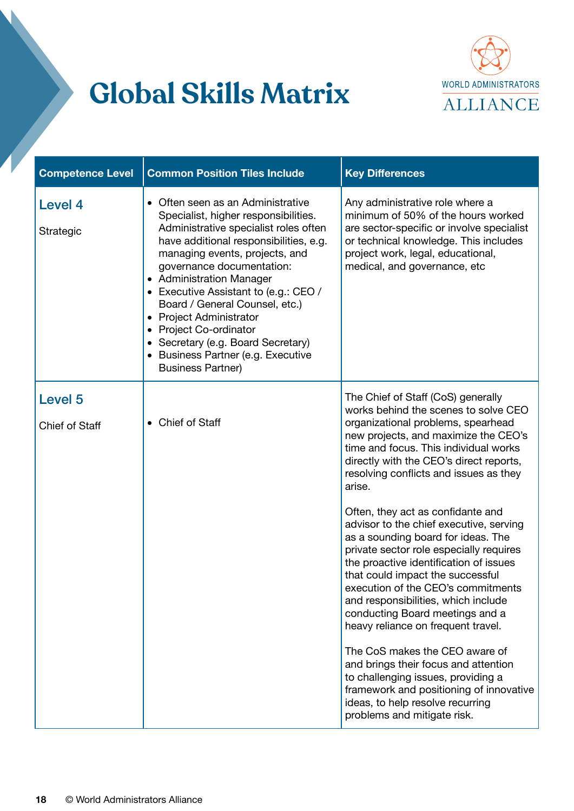

| <b>Competence Level</b>     | <b>Common Position Tiles Include</b>                                                                                                                                                                                                                                                                                                                                                                                                                                                            | <b>Key Differences</b>                                                                                                                                                                                                                                                                                                                                                                                                                                                                                                                                                                                                                                                                                                                                                                                                                                                                                                              |
|-----------------------------|-------------------------------------------------------------------------------------------------------------------------------------------------------------------------------------------------------------------------------------------------------------------------------------------------------------------------------------------------------------------------------------------------------------------------------------------------------------------------------------------------|-------------------------------------------------------------------------------------------------------------------------------------------------------------------------------------------------------------------------------------------------------------------------------------------------------------------------------------------------------------------------------------------------------------------------------------------------------------------------------------------------------------------------------------------------------------------------------------------------------------------------------------------------------------------------------------------------------------------------------------------------------------------------------------------------------------------------------------------------------------------------------------------------------------------------------------|
| <b>Level 4</b><br>Strategic | • Often seen as an Administrative<br>Specialist, higher responsibilities.<br>Administrative specialist roles often<br>have additional responsibilities, e.g.<br>managing events, projects, and<br>governance documentation:<br>• Administration Manager<br>• Executive Assistant to (e.g.: CEO /<br>Board / General Counsel, etc.)<br>• Project Administrator<br>• Project Co-ordinator<br>• Secretary (e.g. Board Secretary)<br>• Business Partner (e.g. Executive<br><b>Business Partner)</b> | Any administrative role where a<br>minimum of 50% of the hours worked<br>are sector-specific or involve specialist<br>or technical knowledge. This includes<br>project work, legal, educational,<br>medical, and governance, etc                                                                                                                                                                                                                                                                                                                                                                                                                                                                                                                                                                                                                                                                                                    |
| Level 5<br>Chief of Staff   | • Chief of Staff                                                                                                                                                                                                                                                                                                                                                                                                                                                                                | The Chief of Staff (CoS) generally<br>works behind the scenes to solve CEO<br>organizational problems, spearhead<br>new projects, and maximize the CEO's<br>time and focus. This individual works<br>directly with the CEO's direct reports,<br>resolving conflicts and issues as they<br>arise.<br>Often, they act as confidante and<br>advisor to the chief executive, serving<br>as a sounding board for ideas. The<br>private sector role especially requires<br>the proactive identification of issues<br>that could impact the successful<br>execution of the CEO's commitments<br>and responsibilities, which include<br>conducting Board meetings and a<br>heavy reliance on frequent travel.<br>The CoS makes the CEO aware of<br>and brings their focus and attention<br>to challenging issues, providing a<br>framework and positioning of innovative<br>ideas, to help resolve recurring<br>problems and mitigate risk. |